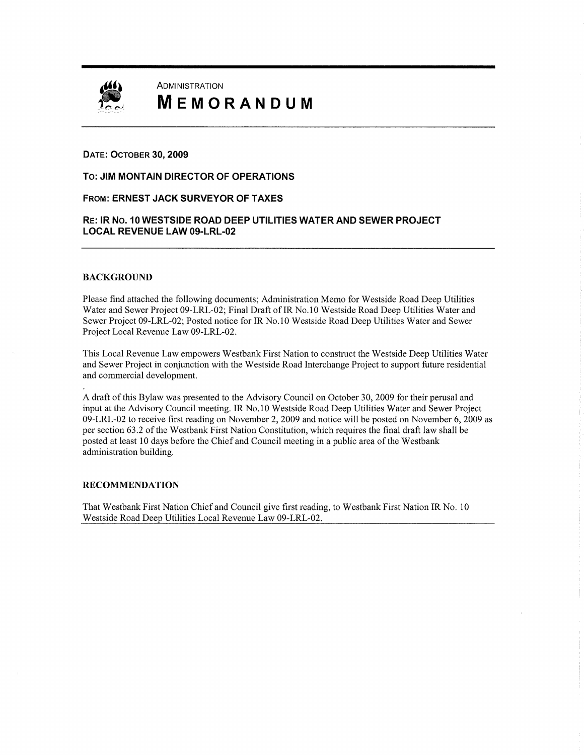

# **I ADMINISTRATION**<br> **IMPLIFE DE CONTRATION** MEMORANDUM

#### DATE: OCTOBER 30, 2009

To: JIM MONTAIN DIRECTOR OF OPERATIONS

#### FROM: ERNEST JACK SURVEYOR OF TAXES

#### RE: IR No. 10 WESTSIDE ROAD DEEP UTILITIES WATER AND SEWER PROJECT LOCAL REVENUE LAW 09-LRL-02

#### BACKGROUND

Please find attached the following documents; Administration Memo for Westside Road Deep Utilities Water and Sewer Project 09-LRL-02; Final Draft of IR No.10 Westside Road Deep Utilities Water and Sewer Project 09-LRL-02; Posted notice for IR No.10 Westside Road Deep Utilities Water and Sewer Project Local Revenue Law 09-LRL-02.

This Local Revenue Law empowers Westbank First Nation to construct the Westside Deep Utilities Water and Sewer Project in conjunction with the Westside Road Interchange Project to support future residential and commercial development.

A draft of this Bylaw was presented to the Advisory Council on October 30, 2009 for their perusal and input at the Advisory Council meeting. IR No. 10 Westside Road Deep Utilities Water and Sewer Project 09-LRL-02 to receive first reading on November 2, 2009 and notice will be posted on November 6, 2009 as per section 63.2 of the Westbank First Nation Constitution, Which requires the final draft law shall be posted at least <sup>10</sup> days before the Chief and Council meeting in <sup>a</sup> public area of the Westbank administration building.

#### RECOMMENDATION

That Westbank First Nation Chief and Council give first reading, to Westbank First Nation IR No. 10 Westside Road Deep Utilities Local Revenue Law 09-LRL-02.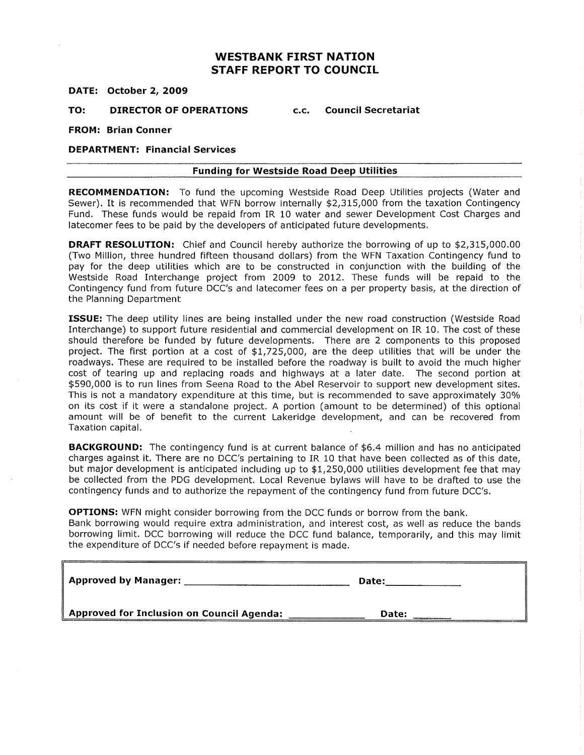### **WESTBANK FIRST NATION** STAFF REPORT To COUNCIL

DATE: October 2. 2009

TO: DIRECTOR OF OPERATIONS C.C. Council Secretariat

FROM: Brian Conner

#### DEPARTMENT: Financial Services

#### Funding for Westside Road Deep Utilities

RECOMMENDATION: To fund the upcoming Westside Road Deep Utilities projects (Water and Funding for Westside Road Deep Othtles<br>
RECOMMENDATION: To fund the upcoming Westside Road Deep Utilities projects (Water an<br>
Sewer). It is recommended that WFN borrow internally \$2,315,000 from the taxation Contingenc<br>
Fu Fund. These funds would be repaid from IR 10 water and sewer Development Cost Charges and latecomer fees to be paid by the developers of anticipated future developments. Sewer). It is recommended that WFN borrow internally \$2,315,000 from the taxation Contingency<br>Fund. These funds would be repaid from IR 10 water and sewer Development Cost Charges and<br>latecomer fees to be paid by the devel

pay for the deep utilities which are to be constructed in conjunction with the building of the westside Road Interchange project from 2009 to 2012. These funds will be repaid to the Contingency fund from future BCC's and latecomer fees on <sup>a</sup> per property basis, at the direction of the Planning Department

**ISSUE:** The deep utility lines are being installed under the new road construction (Westside Road Interchange) to support future residential and commercial development on IR 10. The cost of these should therefore be funded by future developments. There are <sup>2</sup> components to this proposed project. The first portion at a cost of \$1,725,000, are the deep utilities that will be under the roadways. These are required to be installed before the roadway is built to avoid the much higher cost of tearing up and replacing roads and highways at <sup>a</sup> later date. The second portion at 590,000 is to run lines from Seena Road to the Abel Reservoir to support new development sites. This is not <sup>a</sup> mandatory expenditure at this time, but is recommended to save approximately 30% on its cost if it were <sup>a</sup> standalone project. <sup>A</sup> portion ( amount to be determined) of this optional amount will be of benefit to the current Lakeridge development, and can be recovered from Taxation capital.

**BACKGROUND:** The contingency fund is at current balance of \$6.4 million and has no anticipated<br>charges against it. There are no DCC's pertaining to IR 10 that have been collected as of this date,<br>but major development is charges against it. There are no DCC's pertaining to IR 10 that have been collected as of this date,<br>but major development is anticipated including up to \$1,250,000 utilities development fee that may be collected from the PDC development. Local Revenue bylaws will have to be drafted to use the contingency funds and to authorize the repayment of the contingency fund from future DCC's.

OPTIONS: WFN might consider borrowing from the DCC funds or borrow from the bank. Bank borrowing would require extra administration, and interest cost, as well as reduce the bands borrowing limit. DCC borrowing will reduce the DCC fund balance, temporarily, and this may limit the expenditure of DCC's if needed before repayment is made.

| <b>Approved by Manager:</b>               | Date: |
|-------------------------------------------|-------|
| Approved for Inclusion on Council Agenda: | Date: |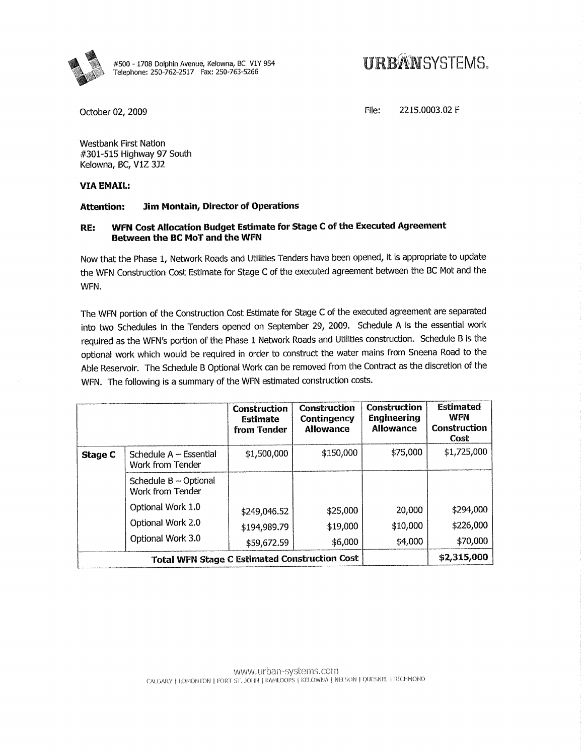

#500 - 1708 Dolphin Avenue, Kelowna, BC V1Y 9S4<br>Telephone: 250-762-2517 Fax: 250-763-5266

## *URBANSYSTEMS.*

October 02, 2009

2215.0003.02 F File:

**Westbank First Nation** #301-515 Highway 97 South Kelowna, BC, V1Z 3J2

#### **VIA EMAIL:**

#### **Jim Montain, Director of Operations Attention:**

#### WFN Cost Allocation Budget Estimate for Stage C of the Executed Agreement RE: Between the BC MoT and the WFN

Now that the Phase 1, Network Roads and Utilities Tenders have been opened, it is appropriate to update the WFN Construction Cost Estimate for Stage C of the executed agreement between the BC Mot and the WFN.

The WFN portion of the Construction Cost Estimate for Stage C of the executed agreement are separated into two Schedules in the Tenders opened on September 29, 2009. Schedule A is the essential work required as the WFN's portion of the Phase 1 Network Roads and Utilities construction. Schedule B is the optional work which would be required in order to construct the water mains from Sneena Road to the Able Reservoir. The Schedule B Optional Work can be removed from the Contract as the discretion of the WFN. The following is a summary of the WFN estimated construction costs.

|                                                      |                                               | Construction<br>Estimate<br>from Tender | Construction<br>Contingency<br>Allowance | <b>Construction</b><br>Engineering<br><b>Allowance</b> | Estimated<br>WFN<br><b>Construction</b><br>Cost |
|------------------------------------------------------|-----------------------------------------------|-----------------------------------------|------------------------------------------|--------------------------------------------------------|-------------------------------------------------|
| Stage C                                              | Schedule $A - E$ ssential<br>Work from Tender | \$1,500,000                             | \$150,000                                | \$75,000                                               | \$1,725,000                                     |
|                                                      | Schedule B - Optional<br>Work from Tender     |                                         |                                          |                                                        |                                                 |
|                                                      | Optional Work 1.0                             | \$249,046.52                            | \$25,000                                 | 20,000                                                 | \$294,000                                       |
|                                                      | Optional Work 2.0                             | \$194,989.79                            | \$19,000                                 | \$10,000                                               | \$226,000                                       |
|                                                      | Optional Work 3.0                             | \$59,672.59                             | \$6,000                                  | \$4,000                                                | \$70,000                                        |
| <b>Total WFN Stage C Estimated Construction Cost</b> |                                               |                                         |                                          | \$2,315,000                                            |                                                 |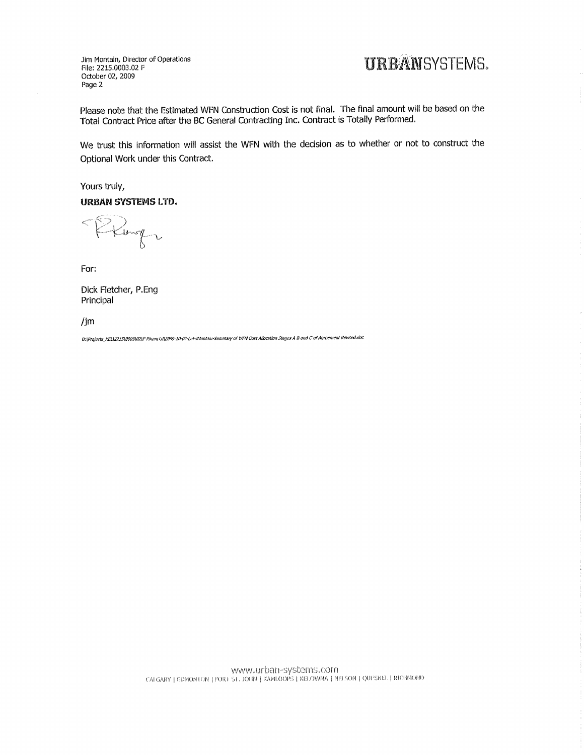Jim Montain, Director of Operations File: 2215.0003.02 F October 02, 2009 Page 2

## **URBANSYSTEMS.**

Please note that the Estimated WFN Construction Cost is not final. The final amount will be based on the Total Contract Price after the BC General Contracting Inc. Contract is Totally Performed.

We trust this information will assist the WFN with the decision as to whether or not to construct the Optional Work under this Contract.

Yours truly, **URBAN SYSTEMS LTD.** 

PRIngs

For:

Dick Fletcher, P.Eng Principal

 $\lim$ 

U:\Projects\_KEL\2215\0003\02\F-Financla\\2009-10-02-Let-JRontain-Summary of WFN Cost Allocation Stages A B and C of Agreement Revised.doc

WWW.urban-systems.com<br>CALGARY | EDMONTON | FORT ST.JOHN | KAMLOOPS | KELOWAA | NELSON | QUESNEL | RICHMOND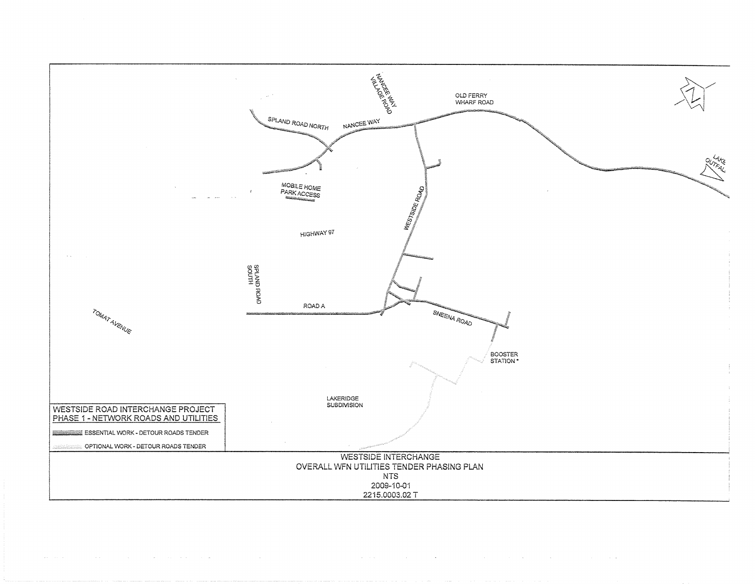

 $\sim$ 

 $\sim 10^7$ 

 $\sim 100$ 

 $\sim 10^7$ 

the same state of the control of the

 $\sim$   $\sim$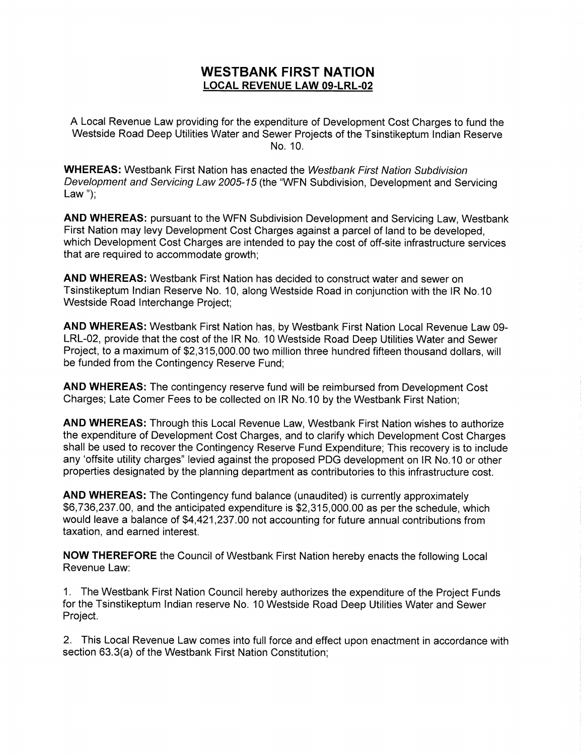# WESTBANK FIRST NATION **WESTBANK FIRST NATION<br><u>LOCAL REVENUE LAW 09-LRL-02</u>**

A Local Revenue Law providing for the expenditure of Development Cost Charges to fund the Westside Road Deep Utilities Water and Sewer Projects of the Tsinstikeptum Indian Reserve No. 10.

WHEREAS: Westbank First Nation has enacted the Westbank First Nation Subdivision Development and Servicing Law 2005-15 (the "WFN Subdivision, Development and Servicing Law");

AND WHEREAS: pursuant to the WFN Subdivision Development and Servicing Law, Westbank First Nation may levy Development Cost Charges against a parcel of land to be developed, which Development Cost Charges are intended to pay the cost of off-site infrastructure services that are required to accommodate growth;

AND WHEREAS: Westbank First Nation has decided to construct water and sewer on Tsinstikeptum Indian Reserve No. 10, along Westside Road in conjunction with the IR No. 10 Westside Road Interchange Project;

AND WHEREAS: Westbank First Nation has, by Westbank First Nation Local Revenue Law 00- LRL-02, provide that the cost of the IR No. 10 Westside Road Deep Utilities Water and Sewer<br>Project, to a maximum of \$2,315,000.00 two million three hundred fifteen thousand dollars, will AND WHEREAS: Westbank First Nation has, by Westbank First Nation Local Revenue Law 0<br>LRL-02, provide that the cost of the IR No. 10 Westside Road Deep Utilities Water and Sewer<br>Project, to a maximum of \$2,315,000.00 two mi be funded from the Contingency Reserve Fund;

AND WHEREAS: The contingency reserve fund will be reimbursed from Development Cost Charges; Late Comer Fees to be collected on IR No. 10 by the Westbank First Nation;

AND WHEREAS: Through this Local Revenue Law, Westbank First Nation wishes to authorize the expenditure of Development cost Charges, and to clarify which Development Cost Charges shall be used to recover the Contingency Reserve Fund Expenditure; This recovery is to include any 'offsite utility charges" levied against the proposed PDG development on IR No.10 or other

properties designated by the planning department as contributories to this infrastructure cost.<br> **AND WHEREAS:** The Contingency fund balance (unaudited) is currently approximately<br>
\$6,736,237.00, and the anticipated expend AND WHEREAS: The Contingency fund balance (unaudited) is currently approximately \$6,736,237.00, and the anticipated expenditure is \$2,315,000.00 as per the schedule, which<br>would leave a balance of \$4,421,237.00 not accounting for future annual contributions from taxation, and earned interest.

NOW THEREFORE the Council of Westbank First Nation hereby enacts the following Local Revenue Law:

1. The Westbank First Nation Council hereby authorizes the expenditure of the Project Funds for the Tsinstikeptum Indian reserve No. 10 Westside Road Deep Utilities Water and Sewer Project.

2. This Local Revenue Law comes into full force and effect upon enactment in accordance with Project.<br>2. This Local Revenue Law comes into full force and eff<br>section 63.3(a) of the Westbank First Nation Constitution;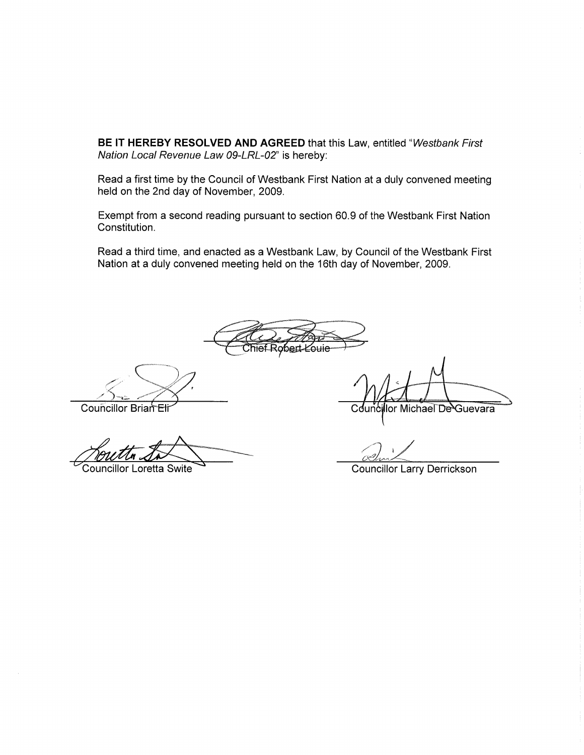BE IT HEREBY RESOLVED AND AGREED that this Law, entitled "Westbank First Nation Local Revenue Law 09-LRL-02" is hereby:

Read a first time by the Council of Westbank First Nation at a duly convened meeting held on the 2nd day of November, 2009.

Exempt from <sup>a</sup> second reading pursuant to section 50.9 of the Westbank First Nation Constitution.

Read a third time, and enacted as a Westbank Law, by Council of the Westbank First Nation at a duly convened meeting held on the 16th day of November, 2009.

obert *K*ouie

Councillor Brian Eti

Councillor Loretta Swite

Councillor Michael De Guevara

Councillor Larry Derrickson